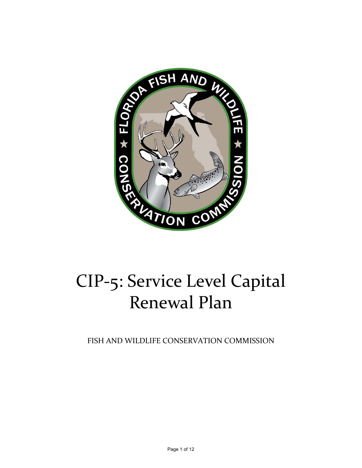

# CIP‐5: Service Level Capital Renewal Plan

FISH AND WILDLIFE CONSERVATION COMMISSION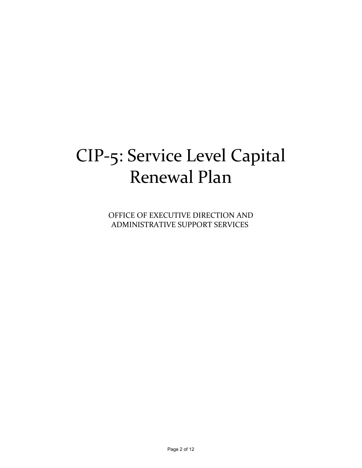## CIP‐5: Service Level Capital Renewal Plan

OFFICE OF EXECUTIVE DIRECTION AND ADMINISTRATIVE SUPPORT SERVICES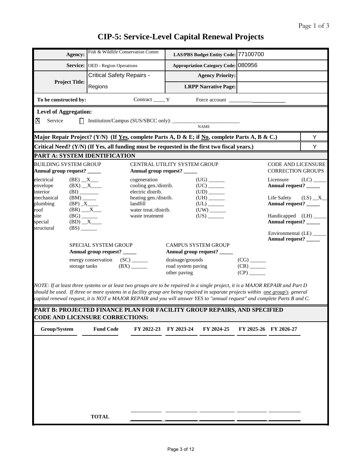|                                                                                                                                                                                                              | Fish & Wildlife Conservation Comm                                                                                                                                                                                                                                                                                                                                                                                                                                                                                    |                                                             |                                        |                                      |                                                       |                                                       |            |  |  |  |  |  |  |
|--------------------------------------------------------------------------------------------------------------------------------------------------------------------------------------------------------------|----------------------------------------------------------------------------------------------------------------------------------------------------------------------------------------------------------------------------------------------------------------------------------------------------------------------------------------------------------------------------------------------------------------------------------------------------------------------------------------------------------------------|-------------------------------------------------------------|----------------------------------------|--------------------------------------|-------------------------------------------------------|-------------------------------------------------------|------------|--|--|--|--|--|--|
| Agency:                                                                                                                                                                                                      |                                                                                                                                                                                                                                                                                                                                                                                                                                                                                                                      |                                                             |                                        | LAS/PBS Budget Entity Code: 77100700 |                                                       |                                                       |            |  |  |  |  |  |  |
|                                                                                                                                                                                                              | Service: OED - Region Operations                                                                                                                                                                                                                                                                                                                                                                                                                                                                                     |                                                             |                                        | Appropriation Category Code: 080956  |                                                       |                                                       |            |  |  |  |  |  |  |
|                                                                                                                                                                                                              | <b>Critical Safety Repairs -</b>                                                                                                                                                                                                                                                                                                                                                                                                                                                                                     |                                                             |                                        | <b>Agency Priority:</b>              |                                                       |                                                       |            |  |  |  |  |  |  |
| <b>Project Title:</b>                                                                                                                                                                                        | Regions                                                                                                                                                                                                                                                                                                                                                                                                                                                                                                              |                                                             |                                        | <b>LRPP Narrative Page:</b>          |                                                       |                                                       |            |  |  |  |  |  |  |
| To be constructed by:                                                                                                                                                                                        |                                                                                                                                                                                                                                                                                                                                                                                                                                                                                                                      | $Contract \_\_Y$                                            |                                        | Force account                        |                                                       |                                                       |            |  |  |  |  |  |  |
| <b>Level of Aggregation:</b>                                                                                                                                                                                 |                                                                                                                                                                                                                                                                                                                                                                                                                                                                                                                      |                                                             |                                        |                                      |                                                       |                                                       |            |  |  |  |  |  |  |
| X<br>Service                                                                                                                                                                                                 | $\perp$                                                                                                                                                                                                                                                                                                                                                                                                                                                                                                              |                                                             |                                        | <b>NAME</b>                          |                                                       |                                                       |            |  |  |  |  |  |  |
|                                                                                                                                                                                                              |                                                                                                                                                                                                                                                                                                                                                                                                                                                                                                                      |                                                             |                                        |                                      |                                                       |                                                       | Y          |  |  |  |  |  |  |
| Major Repair Project? (Y/N) (If <u>Yes,</u> complete Parts A, D & E; if <u>No</u> , complete Parts A, B & C.)<br>Critical Need? (Y/N) (If Yes, all funding must be requested in the first two fiscal years.) |                                                                                                                                                                                                                                                                                                                                                                                                                                                                                                                      |                                                             |                                        |                                      |                                                       |                                                       |            |  |  |  |  |  |  |
|                                                                                                                                                                                                              |                                                                                                                                                                                                                                                                                                                                                                                                                                                                                                                      |                                                             |                                        |                                      |                                                       |                                                       | Y          |  |  |  |  |  |  |
|                                                                                                                                                                                                              | PART A: SYSTEM IDENTIFICATION                                                                                                                                                                                                                                                                                                                                                                                                                                                                                        |                                                             |                                        |                                      |                                                       |                                                       |            |  |  |  |  |  |  |
| <b>BUILDING SYSTEM GROUP</b><br>Annual group request? _____                                                                                                                                                  |                                                                                                                                                                                                                                                                                                                                                                                                                                                                                                                      | CENTRAL UTILITY SYSTEM GROUP<br>Annual group request? _____ |                                        |                                      |                                                       | <b>CODE AND LICENSURE</b><br><b>CORRECTION GROUPS</b> |            |  |  |  |  |  |  |
| electrical                                                                                                                                                                                                   | $(BE)$ $X$ $\qquad$                                                                                                                                                                                                                                                                                                                                                                                                                                                                                                  | cogeneration                                                |                                        | $(UG)$ <sub>_______</sub>            |                                                       | Licensure                                             |            |  |  |  |  |  |  |
| envelope<br>interior                                                                                                                                                                                         | (BI)                                                                                                                                                                                                                                                                                                                                                                                                                                                                                                                 | cooling gen./distrib.<br>electric distrib.                  |                                        | $(UC)$ <sub>_______</sub>            |                                                       | Annual request? _____                                 |            |  |  |  |  |  |  |
| mechanical                                                                                                                                                                                                   | $(BM)$ <sub>_____</sub>                                                                                                                                                                                                                                                                                                                                                                                                                                                                                              | heating gen./distrib.                                       |                                        |                                      |                                                       | Life Safety                                           | $(LS)$ $X$ |  |  |  |  |  |  |
| plumbing<br>roof                                                                                                                                                                                             | $(BR)$ $X$                                                                                                                                                                                                                                                                                                                                                                                                                                                                                                           | landfill<br>water treat./distrib.                           |                                        | $(UL)$ <sub>________</sub>           |                                                       | Annual request? _____                                 |            |  |  |  |  |  |  |
| site                                                                                                                                                                                                         | $\frac{\text{(BG)}}{\text{(BD)}\_\_X}$                                                                                                                                                                                                                                                                                                                                                                                                                                                                               | waste treatment                                             |                                        | $(US)$ <sub>______</sub>             |                                                       | Handicapped (LH) ____                                 |            |  |  |  |  |  |  |
| special<br>structural                                                                                                                                                                                        | $(BS)$ <sub>______</sub>                                                                                                                                                                                                                                                                                                                                                                                                                                                                                             |                                                             |                                        |                                      |                                                       | Annual request? _____                                 |            |  |  |  |  |  |  |
|                                                                                                                                                                                                              |                                                                                                                                                                                                                                                                                                                                                                                                                                                                                                                      |                                                             |                                        |                                      |                                                       | Environmental (LE) ____                               |            |  |  |  |  |  |  |
|                                                                                                                                                                                                              | SPECIAL SYSTEM GROUP                                                                                                                                                                                                                                                                                                                                                                                                                                                                                                 |                                                             | <b>CAMPUS SYSTEM GROUP</b>             |                                      |                                                       | Annual request? _____                                 |            |  |  |  |  |  |  |
|                                                                                                                                                                                                              | Annual group request? _____                                                                                                                                                                                                                                                                                                                                                                                                                                                                                          |                                                             | Annual group request? _____            |                                      |                                                       |                                                       |            |  |  |  |  |  |  |
|                                                                                                                                                                                                              | energy conservation (SC) _____<br>storage tanks                                                                                                                                                                                                                                                                                                                                                                                                                                                                      | $(BX)$ <sub>______</sub>                                    | drainage/grounds<br>road system paving |                                      | $(CG)$ <sub>_______</sub><br>$(CR)$ <sub>______</sub> |                                                       |            |  |  |  |  |  |  |
|                                                                                                                                                                                                              |                                                                                                                                                                                                                                                                                                                                                                                                                                                                                                                      |                                                             | other paving                           |                                      | $(CP)$ <sub>______</sub>                              |                                                       |            |  |  |  |  |  |  |
|                                                                                                                                                                                                              | NOTE: If at least three systems or at least two groups are to be repaired in a single project, it is a MAJOR REPAIR and Part D<br>should be used. If three or more systems in a facility group are being repaired in separate projects within one group's general<br>capital renewal request, it is NOT a MAJOR REPAIR and you will answer YES to "annual request" and complete Parts B and C.<br>PART B: PROJECTED FINANCE PLAN FOR FACILITY GROUP REPAIRS, AND SPECIFIED<br><b>CODE AND LICENSURE CORRECTIONS:</b> |                                                             |                                        |                                      |                                                       |                                                       |            |  |  |  |  |  |  |
| Group/System                                                                                                                                                                                                 | <b>Fund Code</b>                                                                                                                                                                                                                                                                                                                                                                                                                                                                                                     | FY 2022-23 FY 2023-24                                       |                                        | FY 2024-25                           |                                                       | FY 2025-26 FY 2026-27                                 |            |  |  |  |  |  |  |
|                                                                                                                                                                                                              |                                                                                                                                                                                                                                                                                                                                                                                                                                                                                                                      |                                                             |                                        |                                      |                                                       |                                                       |            |  |  |  |  |  |  |
|                                                                                                                                                                                                              |                                                                                                                                                                                                                                                                                                                                                                                                                                                                                                                      |                                                             |                                        |                                      |                                                       |                                                       |            |  |  |  |  |  |  |
|                                                                                                                                                                                                              |                                                                                                                                                                                                                                                                                                                                                                                                                                                                                                                      |                                                             |                                        |                                      |                                                       |                                                       |            |  |  |  |  |  |  |
|                                                                                                                                                                                                              |                                                                                                                                                                                                                                                                                                                                                                                                                                                                                                                      |                                                             |                                        |                                      |                                                       |                                                       |            |  |  |  |  |  |  |
|                                                                                                                                                                                                              |                                                                                                                                                                                                                                                                                                                                                                                                                                                                                                                      |                                                             |                                        |                                      |                                                       |                                                       |            |  |  |  |  |  |  |
|                                                                                                                                                                                                              |                                                                                                                                                                                                                                                                                                                                                                                                                                                                                                                      |                                                             |                                        |                                      |                                                       |                                                       |            |  |  |  |  |  |  |
|                                                                                                                                                                                                              |                                                                                                                                                                                                                                                                                                                                                                                                                                                                                                                      |                                                             |                                        |                                      |                                                       |                                                       |            |  |  |  |  |  |  |
|                                                                                                                                                                                                              |                                                                                                                                                                                                                                                                                                                                                                                                                                                                                                                      |                                                             |                                        |                                      |                                                       |                                                       |            |  |  |  |  |  |  |
|                                                                                                                                                                                                              | <b>TOTAL</b>                                                                                                                                                                                                                                                                                                                                                                                                                                                                                                         |                                                             |                                        |                                      |                                                       |                                                       |            |  |  |  |  |  |  |
|                                                                                                                                                                                                              |                                                                                                                                                                                                                                                                                                                                                                                                                                                                                                                      |                                                             |                                        |                                      |                                                       |                                                       |            |  |  |  |  |  |  |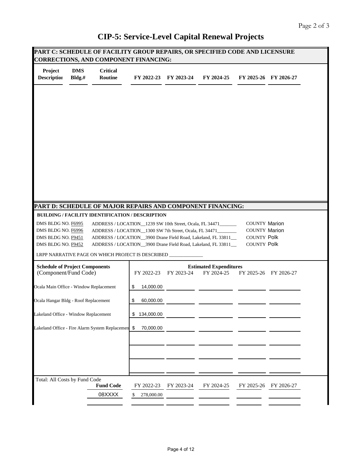| Project<br><b>Description</b>                                                                                                                                   | <b>DMS</b><br>Bldg.# | <b>Critical</b><br>Routine                                                                                                                                                         |                 | FY 2022-23 FY 2023-24 | FY 2024-25                                  |                                                                    | FY 2025-26 FY 2026-27 |
|-----------------------------------------------------------------------------------------------------------------------------------------------------------------|----------------------|------------------------------------------------------------------------------------------------------------------------------------------------------------------------------------|-----------------|-----------------------|---------------------------------------------|--------------------------------------------------------------------|-----------------------|
|                                                                                                                                                                 |                      |                                                                                                                                                                                    |                 |                       |                                             |                                                                    |                       |
|                                                                                                                                                                 |                      |                                                                                                                                                                                    |                 |                       |                                             |                                                                    |                       |
|                                                                                                                                                                 |                      |                                                                                                                                                                                    |                 |                       |                                             |                                                                    |                       |
|                                                                                                                                                                 |                      |                                                                                                                                                                                    |                 |                       |                                             |                                                                    |                       |
|                                                                                                                                                                 |                      |                                                                                                                                                                                    |                 |                       |                                             |                                                                    |                       |
|                                                                                                                                                                 |                      | PART D: SCHEDULE OF MAJOR REPAIRS AND COMPONENT FINANCING:<br><b>BUILDING / FACILITY IDENTIFICATION / DESCRIPTION</b>                                                              |                 |                       |                                             |                                                                    |                       |
| DMS BLDG NO. F6995<br>DMS BLDG NO. F6996<br>DMS BLDG NO. F9451                                                                                                  |                      | ADDRESS / LOCATION 1239 SW 10th Street, Ocala, FL 34471<br>ADDRESS / LOCATION 1300 SW 7th Street, Ocala, FL 34471<br>ADDRESS / LOCATION_3900 Drane Field Road, Lakeland, FL 33811_ |                 |                       |                                             | <b>COUNTY Marion</b><br><b>COUNTY Marion</b><br><b>COUNTY Polk</b> |                       |
| DMS BLDG NO. F9452                                                                                                                                              |                      |                                                                                                                                                                                    |                 |                       |                                             |                                                                    |                       |
|                                                                                                                                                                 |                      | ADDRESS / LOCATION_3900 Drane Field Road, Lakeland, FL 33811_                                                                                                                      |                 |                       |                                             | <b>COUNTY Polk</b>                                                 |                       |
| (Component/Fund Code)                                                                                                                                           |                      | LRPP NARRATIVE PAGE ON WHICH PROJECT IS DESCRIBED __                                                                                                                               |                 | FY 2022-23 FY 2023-24 | <b>Estimated Expenditures</b><br>FY 2024-25 |                                                                    | FY 2025-26 FY 2026-27 |
|                                                                                                                                                                 |                      |                                                                                                                                                                                    | 14,000.00<br>\$ |                       |                                             |                                                                    |                       |
|                                                                                                                                                                 |                      |                                                                                                                                                                                    | \$<br>60,000.00 |                       |                                             |                                                                    |                       |
| <b>Schedule of Project Components</b><br>Ocala Main Office - Window Replacement<br>Ocala Hangar Bldg - Roof Replacement<br>Lakeland Office - Window Replacement |                      |                                                                                                                                                                                    | \$134,000.00    |                       |                                             |                                                                    |                       |
|                                                                                                                                                                 |                      | Lakeland Office - Fire Alarm System Replacemen \$                                                                                                                                  | 70,000.00       |                       |                                             |                                                                    |                       |
|                                                                                                                                                                 |                      |                                                                                                                                                                                    |                 |                       |                                             |                                                                    |                       |
|                                                                                                                                                                 |                      |                                                                                                                                                                                    |                 |                       |                                             |                                                                    |                       |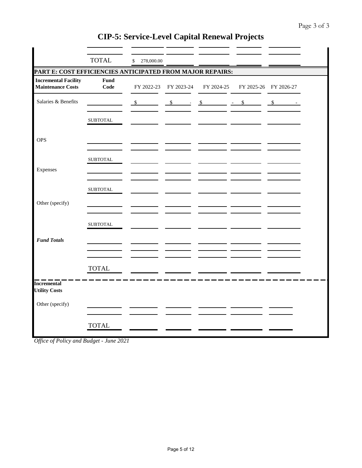|                                                           | <b>TOTAL</b>     | \$<br>278,000.00 |                              |               |                       |
|-----------------------------------------------------------|------------------|------------------|------------------------------|---------------|-----------------------|
| PART E: COST EFFICIENCIES ANTICIPATED FROM MAJOR REPAIRS: |                  |                  |                              |               |                       |
| <b>Incremental Facility</b><br><b>Maintenance Costs</b>   | Fund<br>Code     | FY 2022-23       | FY 2023-24                   | FY 2024-25    | FY 2025-26 FY 2026-27 |
| Salaries & Benefits                                       |                  | $\mathcal{S}$    | $\mathbf{\hat{s}}$<br>$\sim$ | $\mathcal{S}$ | \$<br>$\mathcal{S}$   |
|                                                           | ${\tt SUBTOTAL}$ |                  |                              |               |                       |
| <b>OPS</b>                                                |                  |                  |                              |               |                       |
|                                                           | ${\tt SUBTOTAL}$ |                  |                              |               |                       |
| Expenses                                                  |                  |                  |                              |               |                       |
| Other (specify)                                           | <b>SUBTOTAL</b>  |                  |                              |               |                       |
|                                                           | <b>SUBTOTAL</b>  |                  |                              |               |                       |
| <b>Fund Totals</b>                                        |                  |                  |                              |               |                       |
|                                                           |                  |                  |                              |               |                       |
| <b>Incremental</b>                                        | <b>TOTAL</b>     |                  |                              |               |                       |
| <b>Utility Costs</b>                                      |                  |                  |                              |               |                       |
| Other (specify)                                           |                  |                  |                              |               |                       |
|                                                           | <b>TOTAL</b>     |                  |                              |               |                       |

*Office of Policy and Budget - June 2021*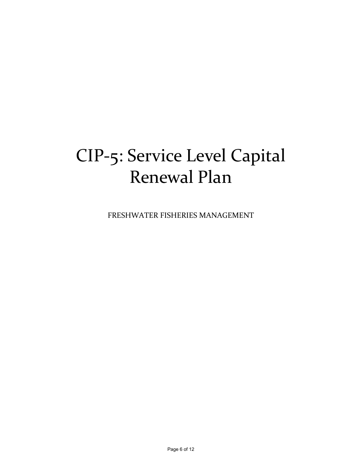## CIP‐5: Service Level Capital Renewal Plan

FRESHWATER FISHERIES MANAGEMENT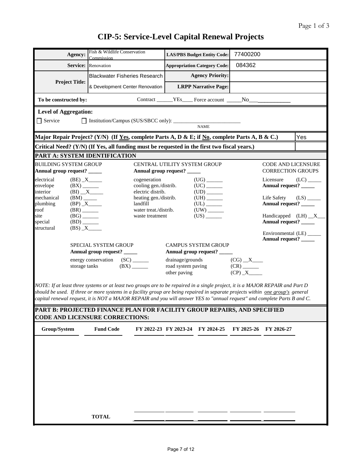| Agency:                                                     |                                                                                  | Fish & Wildlife Conservation<br>Commission                                                                                                                                                                                                                                                                                                                                                     |                                                             |                                                        | <b>LAS/PBS Budget Entity Code:</b>                        | 77400200                 |                                                       |                         |
|-------------------------------------------------------------|----------------------------------------------------------------------------------|------------------------------------------------------------------------------------------------------------------------------------------------------------------------------------------------------------------------------------------------------------------------------------------------------------------------------------------------------------------------------------------------|-------------------------------------------------------------|--------------------------------------------------------|-----------------------------------------------------------|--------------------------|-------------------------------------------------------|-------------------------|
|                                                             |                                                                                  | <b>Service:</b> Renovation                                                                                                                                                                                                                                                                                                                                                                     |                                                             |                                                        | <b>Appropriation Category Code:</b>                       | 084362                   |                                                       |                         |
|                                                             |                                                                                  | <b>Blackwater Fisheries Research</b>                                                                                                                                                                                                                                                                                                                                                           |                                                             |                                                        | <b>Agency Priority:</b>                                   |                          |                                                       |                         |
| <b>Project Title:</b>                                       |                                                                                  | & Development Center Renovation                                                                                                                                                                                                                                                                                                                                                                |                                                             |                                                        | <b>LRPP Narrative Page:</b>                               |                          |                                                       |                         |
| To be constructed by:                                       |                                                                                  |                                                                                                                                                                                                                                                                                                                                                                                                |                                                             |                                                        |                                                           |                          |                                                       |                         |
| <b>Level of Aggregation:</b>                                |                                                                                  |                                                                                                                                                                                                                                                                                                                                                                                                |                                                             |                                                        |                                                           |                          |                                                       |                         |
| Service                                                     |                                                                                  |                                                                                                                                                                                                                                                                                                                                                                                                |                                                             |                                                        | <b>NAME</b>                                               |                          |                                                       |                         |
|                                                             |                                                                                  | Major Repair Project? (Y/N) (If Yes, complete Parts A, D & E; if No, complete Parts A, B & C.)                                                                                                                                                                                                                                                                                                 |                                                             |                                                        |                                                           |                          |                                                       | Yes                     |
|                                                             |                                                                                  | Critical Need? (Y/N) (If Yes, all funding must be requested in the first two fiscal years.)                                                                                                                                                                                                                                                                                                    |                                                             |                                                        |                                                           |                          |                                                       |                         |
|                                                             |                                                                                  | PART A: SYSTEM IDENTIFICATION                                                                                                                                                                                                                                                                                                                                                                  |                                                             |                                                        |                                                           |                          |                                                       |                         |
| <b>BUILDING SYSTEM GROUP</b><br>Annual group request? _____ |                                                                                  |                                                                                                                                                                                                                                                                                                                                                                                                | CENTRAL UTILITY SYSTEM GROUP<br>Annual group request? _____ |                                                        |                                                           |                          | <b>CODE AND LICENSURE</b><br><b>CORRECTION GROUPS</b> |                         |
| electrical<br>envelope<br>interior                          |                                                                                  | $(BE)$ $X$ <sub>____</sub><br>$(BX)$ <sub>_______</sub><br>$(BI)$ $X$                                                                                                                                                                                                                                                                                                                          | cogeneration<br>cooling gen./distrib.<br>electric distrib.  |                                                        | $(UG)$ <sub>_______</sub>                                 |                          | Licensure<br>Annual request? _____                    | $(LC)$ <sub>_____</sub> |
| mechanical<br>plumbing<br>roof                              | $(BM)$ <sub>_____</sub>                                                          |                                                                                                                                                                                                                                                                                                                                                                                                | heating gen./distrib.<br>landfill<br>water treat./distrib.  |                                                        | $(UH)$ <sub>_______</sub><br>$(UL)$ <sub>______</sub>     |                          | Life Safety<br>Annual request? _____                  | $(LS)$ <sub>____</sub>  |
| site<br>special<br>structural                               | $(BR)$ <sub>_______</sub><br>$(BG)$ <sub>______</sub><br>$(BD)$ <sub>_____</sub> | $(BS)$ $X$                                                                                                                                                                                                                                                                                                                                                                                     | waste treatment                                             |                                                        | $(US)$ <sub>______</sub>                                  |                          | Handicapped $(LH)$ $X$<br>Annual request? ______      |                         |
|                                                             |                                                                                  | SPECIAL SYSTEM GROUP<br>Annual group request? _____                                                                                                                                                                                                                                                                                                                                            |                                                             |                                                        | <b>CAMPUS SYSTEM GROUP</b><br>Annual group request? _____ |                          | Environmental (LE) _____<br>Annual request? _____     |                         |
|                                                             | storage tanks                                                                    | energy conservation (SC) ______                                                                                                                                                                                                                                                                                                                                                                |                                                             | drainage/grounds<br>road system paving<br>other paving |                                                           | $(CG)$ $X$<br>$(CP)$ $X$ |                                                       |                         |
|                                                             |                                                                                  | NOTE: If at least three systems or at least two groups are to be repaired in a single project, it is a MAJOR REPAIR and Part D<br>should be used. If three or more systems in a facility group are being repaired in separate projects within one group's general<br>capital renewal request, it is NOT a MAJOR REPAIR and you will answer YES to "annual request" and complete Parts B and C. |                                                             |                                                        |                                                           |                          |                                                       |                         |
|                                                             |                                                                                  | PART B: PROJECTED FINANCE PLAN FOR FACILITY GROUP REPAIRS, AND SPECIFIED<br><b>CODE AND LICENSURE CORRECTIONS:</b>                                                                                                                                                                                                                                                                             |                                                             |                                                        |                                                           |                          |                                                       |                         |
| Group/System                                                |                                                                                  | <b>Fund Code</b>                                                                                                                                                                                                                                                                                                                                                                               |                                                             |                                                        | FY 2022-23 FY 2023-24 FY 2024-25                          |                          | FY 2025-26 FY 2026-27                                 |                         |
|                                                             |                                                                                  |                                                                                                                                                                                                                                                                                                                                                                                                |                                                             |                                                        |                                                           |                          |                                                       |                         |
|                                                             |                                                                                  |                                                                                                                                                                                                                                                                                                                                                                                                |                                                             |                                                        |                                                           |                          |                                                       |                         |
|                                                             |                                                                                  |                                                                                                                                                                                                                                                                                                                                                                                                |                                                             |                                                        |                                                           |                          |                                                       |                         |
|                                                             |                                                                                  |                                                                                                                                                                                                                                                                                                                                                                                                |                                                             |                                                        |                                                           |                          |                                                       |                         |
|                                                             |                                                                                  |                                                                                                                                                                                                                                                                                                                                                                                                |                                                             |                                                        |                                                           |                          |                                                       |                         |
|                                                             |                                                                                  |                                                                                                                                                                                                                                                                                                                                                                                                |                                                             |                                                        |                                                           |                          |                                                       |                         |
|                                                             |                                                                                  | <b>TOTAL</b>                                                                                                                                                                                                                                                                                                                                                                                   |                                                             |                                                        |                                                           |                          |                                                       |                         |
|                                                             |                                                                                  |                                                                                                                                                                                                                                                                                                                                                                                                |                                                             |                                                        |                                                           |                          |                                                       |                         |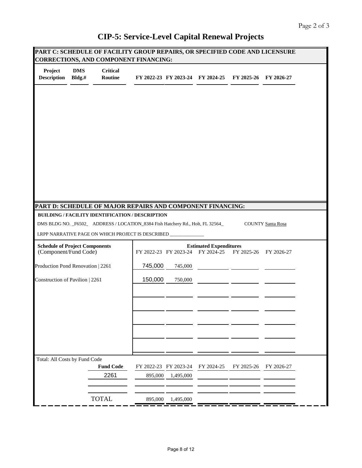|                                                                |                      |                            | <b>CORRECTIONS, AND COMPONENT FINANCING:</b>                                    |           |                                                                   |            | PART C: SCHEDULE OF FACILITY GROUP REPAIRS, OR SPECIFIED CODE AND LICENSURE |
|----------------------------------------------------------------|----------------------|----------------------------|---------------------------------------------------------------------------------|-----------|-------------------------------------------------------------------|------------|-----------------------------------------------------------------------------|
| Project<br><b>Description</b>                                  | <b>DMS</b><br>Bldg.# | <b>Critical</b><br>Routine |                                                                                 |           | FY 2022-23 FY 2023-24 FY 2024-25                                  | FY 2025-26 | FY 2026-27                                                                  |
|                                                                |                      |                            |                                                                                 |           |                                                                   |            |                                                                             |
|                                                                |                      |                            |                                                                                 |           |                                                                   |            |                                                                             |
|                                                                |                      |                            |                                                                                 |           |                                                                   |            |                                                                             |
|                                                                |                      |                            |                                                                                 |           |                                                                   |            |                                                                             |
|                                                                |                      |                            |                                                                                 |           |                                                                   |            |                                                                             |
|                                                                |                      |                            | PART D: SCHEDULE OF MAJOR REPAIRS AND COMPONENT FINANCING:                      |           |                                                                   |            |                                                                             |
|                                                                |                      |                            | <b>BUILDING / FACILITY IDENTIFICATION / DESCRIPTION</b>                         |           |                                                                   |            |                                                                             |
|                                                                |                      |                            | DMS BLDG NO. _F6502_ ADDRESS / LOCATION_8384 Fish Hatchery Rd., Holt, FL 32564_ |           |                                                                   |            | <b>COUNTY Santa Rosa</b>                                                    |
|                                                                |                      |                            | LRPP NARRATIVE PAGE ON WHICH PROJECT IS DESCRIBED _                             |           |                                                                   |            |                                                                             |
| <b>Schedule of Project Components</b><br>(Component/Fund Code) |                      |                            |                                                                                 |           | <b>Estimated Expenditures</b><br>FY 2022-23 FY 2023-24 FY 2024-25 | FY 2025-26 | FY 2026-27                                                                  |
| Production Pond Renovation   2261                              |                      |                            | 745,000                                                                         | 745,000   |                                                                   |            |                                                                             |
| Construction of Pavilion   2261                                |                      |                            | 150,000                                                                         | 750,000   |                                                                   |            |                                                                             |
|                                                                |                      |                            |                                                                                 |           |                                                                   |            |                                                                             |
|                                                                |                      |                            |                                                                                 |           |                                                                   |            |                                                                             |
|                                                                |                      |                            |                                                                                 |           |                                                                   |            |                                                                             |
|                                                                |                      |                            |                                                                                 |           |                                                                   |            |                                                                             |
|                                                                |                      |                            |                                                                                 |           |                                                                   |            |                                                                             |
| Total: All Costs by Fund Code                                  |                      |                            |                                                                                 |           |                                                                   |            |                                                                             |
|                                                                |                      | <b>Fund Code</b>           | FY 2022-23 FY 2023-24                                                           |           | FY 2024-25                                                        | FY 2025-26 | FY 2026-27                                                                  |
|                                                                |                      | 2261                       | 895,000                                                                         | 1,495,000 |                                                                   |            |                                                                             |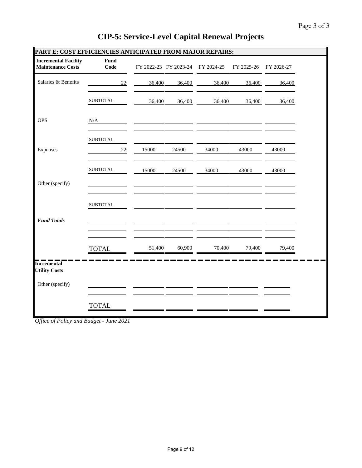| PART E: COST EFFICIENCIES ANTICIPATED FROM MAJOR REPAIRS: |                  |                       |        |            |            |            |  |
|-----------------------------------------------------------|------------------|-----------------------|--------|------------|------------|------------|--|
| <b>Incremental Facility</b><br><b>Maintenance Costs</b>   | Fund<br>Code     | FY 2022-23 FY 2023-24 |        | FY 2024-25 | FY 2025-26 | FY 2026-27 |  |
| Salaries & Benefits                                       | 22 <sub>1</sub>  | 36,400                | 36,400 | 36,400     | 36,400     | 36,400     |  |
|                                                           | <b>SUBTOTAL</b>  | 36,400                | 36,400 | 36,400     | 36,400     | 36,400     |  |
| <b>OPS</b>                                                | N/A              |                       |        |            |            |            |  |
|                                                           | <b>SUBTOTAL</b>  |                       |        |            |            |            |  |
| Expenses                                                  | 22 <sub>1</sub>  | 15000                 | 24500  | 34000      | 43000      | 43000      |  |
|                                                           | ${\tt SUBTOTAL}$ | 15000                 | 24500  | 34000      | 43000      | 43000      |  |
| Other (specify)                                           |                  |                       |        |            |            |            |  |
|                                                           | <b>SUBTOTAL</b>  |                       |        |            |            |            |  |
| <b>Fund Totals</b>                                        |                  |                       |        |            |            |            |  |
|                                                           |                  |                       |        |            |            |            |  |
|                                                           | <b>TOTAL</b>     | 51,400                | 60,900 | 70,400     | 79,400     | 79,400     |  |
| <b>Incremental</b><br><b>Utility Costs</b>                |                  |                       |        |            |            |            |  |
| Other (specify)                                           |                  |                       |        |            |            |            |  |
|                                                           | <b>TOTAL</b>     |                       |        |            |            |            |  |

*Office of Policy and Budget - June 2021*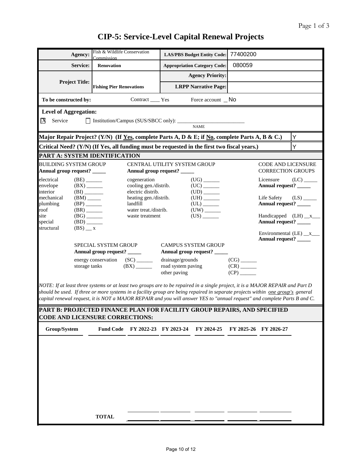| Agency:                                                                                                                                                                                                                                                                                                                                                                                        | Fish & Wildlife Conservation<br>Commission           |                                                            |                                                             | <b>LAS/PBS Budget Entity Code:</b>                               | 77400200                 |                                                       |                         |
|------------------------------------------------------------------------------------------------------------------------------------------------------------------------------------------------------------------------------------------------------------------------------------------------------------------------------------------------------------------------------------------------|------------------------------------------------------|------------------------------------------------------------|-------------------------------------------------------------|------------------------------------------------------------------|--------------------------|-------------------------------------------------------|-------------------------|
| Service:                                                                                                                                                                                                                                                                                                                                                                                       | <b>Renovation</b>                                    |                                                            |                                                             | <b>Appropriation Category Code:</b>                              | 080059                   |                                                       |                         |
|                                                                                                                                                                                                                                                                                                                                                                                                |                                                      |                                                            |                                                             | <b>Agency Priority:</b>                                          |                          |                                                       |                         |
| <b>Project Title:</b>                                                                                                                                                                                                                                                                                                                                                                          | <b>Fishing Pier Renovations</b>                      |                                                            |                                                             | <b>LRPP Narrative Page:</b>                                      |                          |                                                       |                         |
| To be constructed by:                                                                                                                                                                                                                                                                                                                                                                          |                                                      | Contract _____ Yes                                         |                                                             | Force account $\Box$ No                                          |                          |                                                       |                         |
| <b>Level of Aggregation:</b>                                                                                                                                                                                                                                                                                                                                                                   |                                                      |                                                            |                                                             |                                                                  |                          |                                                       |                         |
| Service<br>IХ                                                                                                                                                                                                                                                                                                                                                                                  | Institution/Campus (SUS/SBCC only): _________        |                                                            |                                                             | <b>NAME</b>                                                      |                          |                                                       |                         |
| Major Repair Project? (Y/N) (If Yes, complete Parts A, D & E; if No, complete Parts A, B & C.)                                                                                                                                                                                                                                                                                                 |                                                      |                                                            |                                                             |                                                                  |                          |                                                       | Y                       |
| Critical Need? (Y/N) (If Yes, all funding must be requested in the first two fiscal years.)                                                                                                                                                                                                                                                                                                    |                                                      |                                                            |                                                             |                                                                  |                          |                                                       | Ý                       |
| PART A: SYSTEM IDENTIFICATION                                                                                                                                                                                                                                                                                                                                                                  |                                                      |                                                            |                                                             |                                                                  |                          |                                                       |                         |
| <b>BUILDING SYSTEM GROUP</b><br>Annual group request? _____                                                                                                                                                                                                                                                                                                                                    |                                                      |                                                            | CENTRAL UTILITY SYSTEM GROUP<br>Annual group request? _____ |                                                                  |                          | <b>CODE AND LICENSURE</b><br><b>CORRECTION GROUPS</b> |                         |
| $(BE)$ <sub>_______</sub><br>electrical<br>envelope<br>$(BX)$ <sub>_______</sub><br>interior<br>(BI)                                                                                                                                                                                                                                                                                           |                                                      | cogeneration<br>cooling gen./distrib.<br>electric distrib. |                                                             | $(UG)$ <sub>_______</sub>                                        |                          | Licensure<br>Annual request? _____                    | $(LC)$ <sub>_____</sub> |
| mechanical<br>$(BM)$ <sub>_____</sub><br>plumbing<br>$(BP)$ <sub>______</sub>                                                                                                                                                                                                                                                                                                                  |                                                      | heating gen./distrib.<br>landfill                          |                                                             | $(UH)$ <sub>______</sub><br>$(UL)$ <sub>_______</sub>            |                          | Life Safety<br>Annual request? _____                  | $(LS)$ <sub>_____</sub> |
| roof<br>$(BR)$ <sub>_______</sub><br>site<br>$(BG)$ <sub>______</sub><br>special<br>$(BD)$ <sub>_______</sub>                                                                                                                                                                                                                                                                                  |                                                      | water treat./distrib.<br>waste treatment                   |                                                             | $(US)$ <sub>_______</sub>                                        |                          | Handicapped $(LH)$ $x$ $x$<br>Annual request? _____   |                         |
| structural<br>$(BS)$ $\_\ x$                                                                                                                                                                                                                                                                                                                                                                   |                                                      |                                                            |                                                             |                                                                  |                          | Annual request? _____                                 |                         |
|                                                                                                                                                                                                                                                                                                                                                                                                | SPECIAL SYSTEM GROUP<br>Annual group request? ______ |                                                            | <b>CAMPUS SYSTEM GROUP</b>                                  | Annual group request? _____                                      |                          |                                                       |                         |
| storage tanks                                                                                                                                                                                                                                                                                                                                                                                  | energy conservation                                  | (BX)                                                       | drainage/grounds<br>road system paving<br>other paving      |                                                                  | $(CR)$ <sub>______</sub> |                                                       |                         |
| NOTE: If at least three systems or at least two groups are to be repaired in a single project, it is a MAJOR REPAIR and Part D<br>should be used. If three or more systems in a facility group are being repaired in separate projects within one group's general<br>capital renewal request, it is NOT a MAJOR REPAIR and you will answer YES to "annual request" and complete Parts B and C. |                                                      |                                                            |                                                             |                                                                  |                          |                                                       |                         |
| PART B: PROJECTED FINANCE PLAN FOR FACILITY GROUP REPAIRS, AND SPECIFIED<br><b>CODE AND LICENSURE CORRECTIONS:</b>                                                                                                                                                                                                                                                                             |                                                      |                                                            |                                                             |                                                                  |                          |                                                       |                         |
| Group/System                                                                                                                                                                                                                                                                                                                                                                                   |                                                      |                                                            |                                                             | Fund Code FY 2022-23 FY 2023-24 FY 2024-25 FY 2025-26 FY 2026-27 |                          |                                                       |                         |
|                                                                                                                                                                                                                                                                                                                                                                                                |                                                      |                                                            |                                                             |                                                                  |                          |                                                       |                         |
|                                                                                                                                                                                                                                                                                                                                                                                                |                                                      |                                                            |                                                             |                                                                  |                          |                                                       |                         |
|                                                                                                                                                                                                                                                                                                                                                                                                |                                                      |                                                            |                                                             |                                                                  |                          |                                                       |                         |
|                                                                                                                                                                                                                                                                                                                                                                                                |                                                      |                                                            |                                                             |                                                                  |                          |                                                       |                         |
|                                                                                                                                                                                                                                                                                                                                                                                                |                                                      |                                                            |                                                             |                                                                  |                          |                                                       |                         |
|                                                                                                                                                                                                                                                                                                                                                                                                |                                                      |                                                            |                                                             |                                                                  |                          |                                                       |                         |
|                                                                                                                                                                                                                                                                                                                                                                                                |                                                      |                                                            |                                                             |                                                                  |                          |                                                       |                         |
|                                                                                                                                                                                                                                                                                                                                                                                                | <b>TOTAL</b>                                         |                                                            |                                                             |                                                                  |                          |                                                       |                         |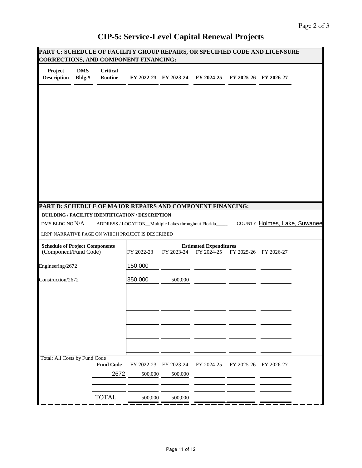| PART C: SCHEDULE OF FACILITY GROUP REPAIRS, OR SPECIFIED CODE AND LICENSURE<br><b>CORRECTIONS, AND COMPONENT FINANCING:</b> |                      |                            |                                                                |                       |                                                          |                       |                              |  |
|-----------------------------------------------------------------------------------------------------------------------------|----------------------|----------------------------|----------------------------------------------------------------|-----------------------|----------------------------------------------------------|-----------------------|------------------------------|--|
| Project<br><b>Description</b>                                                                                               | <b>DMS</b><br>Bldg.# | <b>Critical</b><br>Routine |                                                                |                       | FY 2022-23 FY 2023-24 FY 2024-25                         |                       | FY 2025-26 FY 2026-27        |  |
|                                                                                                                             |                      |                            |                                                                |                       |                                                          |                       |                              |  |
|                                                                                                                             |                      |                            |                                                                |                       |                                                          |                       |                              |  |
|                                                                                                                             |                      |                            |                                                                |                       |                                                          |                       |                              |  |
|                                                                                                                             |                      |                            |                                                                |                       |                                                          |                       |                              |  |
|                                                                                                                             |                      |                            |                                                                |                       |                                                          |                       |                              |  |
|                                                                                                                             |                      |                            |                                                                |                       |                                                          |                       |                              |  |
|                                                                                                                             |                      |                            |                                                                |                       |                                                          |                       |                              |  |
| PART D: SCHEDULE OF MAJOR REPAIRS AND COMPONENT FINANCING:                                                                  |                      |                            |                                                                |                       |                                                          |                       |                              |  |
|                                                                                                                             |                      |                            | BUILDING / FACILITY IDENTIFICATION / DESCRIPTION               |                       |                                                          |                       |                              |  |
| DMS BLDG NO N/A                                                                                                             |                      |                            |                                                                |                       | ADDRESS / LOCATION_Multiple Lakes throughout Florida____ |                       | COUNTY Holmes, Lake, Suwanee |  |
|                                                                                                                             |                      |                            | LRPP NARRATIVE PAGE ON WHICH PROJECT IS DESCRIBED ____________ |                       |                                                          |                       |                              |  |
| <b>Schedule of Project Components</b><br>(Component/Fund Code)                                                              |                      |                            | FY 2022-23                                                     | FY 2023-24            | <b>Estimated Expenditures</b><br>FY 2024-25              | FY 2025-26 FY 2026-27 |                              |  |
| Engineering/2672                                                                                                            |                      |                            | 150,000                                                        |                       |                                                          |                       |                              |  |
| Construction/2672                                                                                                           |                      |                            | 350,000                                                        | 500,000               |                                                          |                       |                              |  |
|                                                                                                                             |                      |                            |                                                                |                       |                                                          |                       |                              |  |
|                                                                                                                             |                      |                            |                                                                |                       |                                                          |                       |                              |  |
|                                                                                                                             |                      |                            |                                                                |                       |                                                          |                       |                              |  |
|                                                                                                                             |                      |                            |                                                                |                       |                                                          |                       |                              |  |
| Total: All Costs by Fund Code                                                                                               |                      |                            |                                                                |                       |                                                          |                       |                              |  |
|                                                                                                                             |                      | <b>Fund Code</b><br>2672   | FY 2022-23<br>500,000                                          | FY 2023-24<br>500,000 | FY 2024-25                                               | FY 2025-26            | FY 2026-27                   |  |
|                                                                                                                             |                      |                            |                                                                |                       |                                                          |                       |                              |  |
|                                                                                                                             |                      | <b>TOTAL</b>               | 500,000                                                        | 500,000               |                                                          |                       |                              |  |